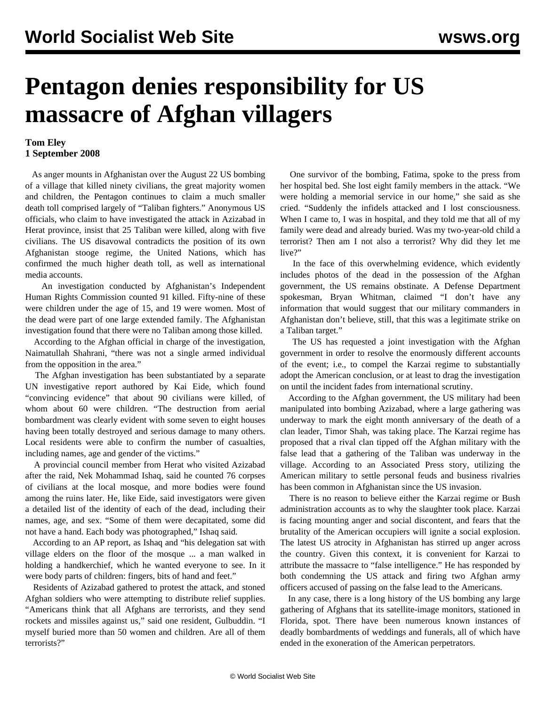## **Pentagon denies responsibility for US massacre of Afghan villagers**

## **Tom Eley 1 September 2008**

 As anger mounts in Afghanistan over the August 22 US bombing of a village that killed ninety civilians, the great majority women and children, the Pentagon continues to claim a much smaller death toll comprised largely of "Taliban fighters." Anonymous US officials, who claim to have investigated the attack in Azizabad in Herat province, insist that 25 Taliban were killed, along with five civilians. The US disavowal contradicts the position of its own Afghanistan stooge regime, the United Nations, which has confirmed the much higher death toll, as well as international media accounts.

 An investigation conducted by Afghanistan's Independent Human Rights Commission counted 91 killed. Fifty-nine of these were children under the age of 15, and 19 were women. Most of the dead were part of one large extended family. The Afghanistan investigation found that there were no Taliban among those killed.

 According to the Afghan official in charge of the investigation, Naimatullah Shahrani, "there was not a single armed individual from the opposition in the area."

 The Afghan investigation has been substantiated by a separate UN investigative report authored by Kai Eide, which found "convincing evidence" that about 90 civilians were killed, of whom about 60 were children. "The destruction from aerial bombardment was clearly evident with some seven to eight houses having been totally destroyed and serious damage to many others. Local residents were able to confirm the number of casualties, including names, age and gender of the victims."

 A provincial council member from Herat who visited Azizabad after the raid, Nek Mohammad Ishaq, said he counted 76 corpses of civilians at the local mosque, and more bodies were found among the ruins later. He, like Eide, said investigators were given a detailed list of the identity of each of the dead, including their names, age, and sex. "Some of them were decapitated, some did not have a hand. Each body was photographed," Ishaq said.

 According to an AP report, as Ishaq and "his delegation sat with village elders on the floor of the mosque ... a man walked in holding a handkerchief, which he wanted everyone to see. In it were body parts of children: fingers, bits of hand and feet."

 Residents of Azizabad gathered to protest the attack, and stoned Afghan soldiers who were attempting to distribute relief supplies. "Americans think that all Afghans are terrorists, and they send rockets and missiles against us," said one resident, Gulbuddin. "I myself buried more than 50 women and children. Are all of them terrorists?"

 One survivor of the bombing, Fatima, spoke to the press from her hospital bed. She lost eight family members in the attack. "We were holding a memorial service in our home," she said as she cried. "Suddenly the infidels attacked and I lost consciousness. When I came to, I was in hospital, and they told me that all of my family were dead and already buried. Was my two-year-old child a terrorist? Then am I not also a terrorist? Why did they let me live?"

 In the face of this overwhelming evidence, which evidently includes photos of the dead in the possession of the Afghan government, the US remains obstinate. A Defense Department spokesman, Bryan Whitman, claimed "I don't have any information that would suggest that our military commanders in Afghanistan don't believe, still, that this was a legitimate strike on a Taliban target."

 The US has requested a joint investigation with the Afghan government in order to resolve the enormously different accounts of the event; i.e., to compel the Karzai regime to substantially adopt the American conclusion, or at least to drag the investigation on until the incident fades from international scrutiny.

 According to the Afghan government, the US military had been manipulated into bombing Azizabad, where a large gathering was underway to mark the eight month anniversary of the death of a clan leader, Timor Shah, was taking place. The Karzai regime has proposed that a rival clan tipped off the Afghan military with the false lead that a gathering of the Taliban was underway in the village. According to an Associated Press story, utilizing the American military to settle personal feuds and business rivalries has been common in Afghanistan since the US invasion.

 There is no reason to believe either the Karzai regime or Bush administration accounts as to why the slaughter took place. Karzai is facing mounting anger and social discontent, and fears that the brutality of the American occupiers will ignite a social explosion. The latest US atrocity in Afghanistan has stirred up anger across the country. Given this context, it is convenient for Karzai to attribute the massacre to "false intelligence." He has responded by both condemning the US attack and firing two Afghan army officers accused of passing on the false lead to the Americans.

 In any case, there is a long history of the US bombing any large gathering of Afghans that its satellite-image monitors, stationed in Florida, spot. There have been numerous known instances of deadly bombardments of weddings and funerals, all of which have ended in the exoneration of the American perpetrators.